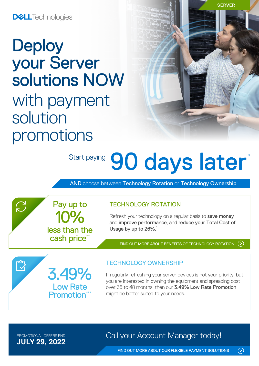## **DELL**Technologies

# **Deploy** your Server solutions NOW with payment solution promotions

3.49%

Low Rate **Promotion**\*

10%

Pay up to

less than the cash price\*

# Start paying 90 days later<sup>\*</sup>

AND choose between Technology Rotation or Technology Ownership

TECHNOLOGY ROTATION

Refresh your technology on a regular basis to save money and improve performance, and reduce your Total Cost of Usage by up to 26%.<sup>1</sup>

[FIND OUT MORE ABOUT BENEFITS OF TECHNOLOGY ROTATION](https://www.delltechnologies.com/en-nz/payment-solutions/leasing.htm#tab0=0)

# TECHNOLOGY OWNERSHIP

If regularly refreshing your server devices is not your priority, but you are interested in owning the equipment and spreading cost over 36 to 48 months, then our 3.49% Low Rate Promotion might be better suited to your needs.

**JULY 29, 2022**

 $\bigcap$ 

 $\bar{\mathbb{C}}$ 

PROMOTIONAL OFFERS END **Call your Account Manager today!** 

 $\odot$ 

**SERVER**